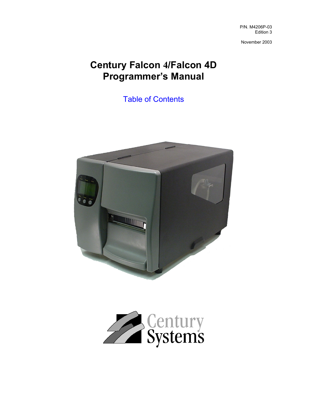P/N. M4206P-03 Edition 3

November 2003

# **Century Falcon 4/Falcon 4D Programmer's Manual**

Table of Contents



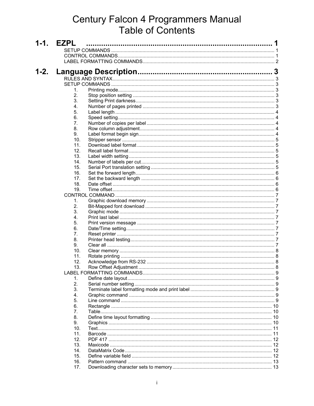# **Century Falcon 4 Programmers Manual<br>Table of Contents**

| $1 - 1$ . | <b>EZPL</b> | 1 |
|-----------|-------------|---|
|           |             |   |
|           |             |   |
|           |             |   |
|           |             |   |
| $1 - 2.$  |             |   |
|           |             |   |
|           |             |   |
|           | 1.          |   |
|           | 2.          |   |
|           | 3.          |   |
|           | 4.          |   |
|           | 5.          |   |
|           | 6.          |   |
|           | 7.          |   |
|           | 8.          |   |
|           | 9.          |   |
|           | 10.         |   |
|           | 11.         |   |
|           | 12.         |   |
|           | 13.         |   |
|           | 14.         |   |
|           | 15.         |   |
|           | 16.         |   |
|           | 17.         |   |
|           | 18.         |   |
|           | 19.         |   |
|           |             |   |
|           | 1.          |   |
|           | 2.          |   |
|           | 3.          |   |
|           | 4.          |   |
|           | 5.          |   |
|           | 6.          |   |
|           | 7.          |   |
|           | 8.          |   |
|           | 9.          |   |
|           | 10.         |   |
|           | 11.         |   |
|           | 12.         |   |
|           | 13.         |   |
|           |             |   |
|           | 1.          |   |
|           | 2.          |   |
|           | 3.          |   |
|           | 4.          |   |
|           | 5.          |   |
|           | 6.          |   |
|           | 7.          |   |
|           | 8.          |   |
|           | 9.          |   |
|           | 10.         |   |
|           | 11.         |   |
|           | 12.         |   |
|           | 13.         |   |
|           | 14.         |   |
|           | 15.         |   |
|           | 16.         |   |
|           | 17.         |   |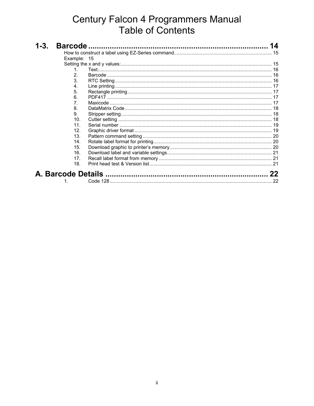# **Century Falcon 4 Programmers Manual<br>Table of Contents**

| 1-3. |                  | 14 |
|------|------------------|----|
|      |                  |    |
|      | Example: 15      |    |
|      |                  |    |
|      | 1.               |    |
|      | 2.               |    |
|      | 3.               |    |
|      | 4.               |    |
|      | 5.               |    |
|      | 6.               |    |
|      | $\overline{7}$ . |    |
|      | 8.               |    |
|      | 9.               |    |
|      | 10 <sub>1</sub>  |    |
|      | 11.              |    |
|      | 12.              |    |
|      | 13.              |    |
|      | 14.              |    |
|      | 15.              |    |
|      | 16.              |    |
|      | 17.              |    |
|      | 18.              |    |
|      |                  | 22 |
|      |                  | 22 |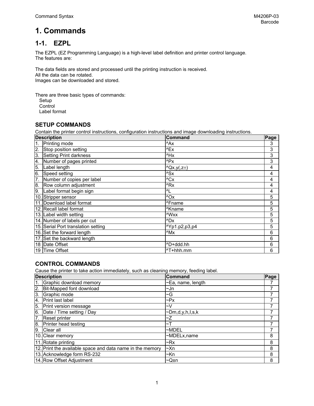# **1. Commands**

# **1-1. EZPL**

The EZPL (EZ Programming Language) is a high-level label definition and printer control language. The features are:

The data fields are stored and processed until the printing instruction is received. All the data can be rotated. Images can be downloaded and stored.

There are three basic types of commands:

- Setup
- **Control**

Label format

#### **SETUP COMMANDS**

Contain the printer control instructions, configuration instructions and image downloading instructions.

| <b>Description</b> |                                     | <b>Command</b>           | Page |
|--------------------|-------------------------------------|--------------------------|------|
|                    | Printing mode                       | ^Ax                      | 3    |
| 2.                 | Stop position setting               | ^Ex                      | 3    |
| 3.                 | Setting Print darkness              | ^Hx                      | 3    |
| 4.                 | Number of pages printed             | ^Px                      | 3    |
| 5.                 | Label length                        | $^{\wedge}Qx,y(z^{\pm})$ | 4    |
| 6.                 | Speed setting                       | $^{\wedge}$ Sx           | 4    |
| 7.                 | Number of copies per label          | ACX                      | 4    |
| 8.                 | Row column adjustment               | ^Rx                      | 4    |
| 9.                 | Label format begin sign             | $\Lambda$                | 4    |
|                    | 10. Stripper sensor                 | $^{\wedge}$ Ox           | 5    |
|                    | 11. Download label format           | ^Fname                   | 5    |
|                    | 12. Recall label format             | <sup>^</sup> Kname       | 5    |
|                    | 13. Label width setting             | ^Wxx                     | 5    |
|                    | 14. Number of labels per cut        | ^Dx                      | 5    |
|                    | 15. Serial Port translation setting | ^Yp1.p2,p3,p4            | 5    |
|                    | 16. Set the forward length          | ^Mx                      | 6    |
|                    | 17. Set the backward length         |                          | 6    |
|                    | 18 Date Offset                      | ^D+ddd.hh                | 6    |
|                    | 19 Time Offset                      | ^T+hhh.mm                | 6    |

#### **CONTROL COMMANDS**

Cause the printer to take action immediately, such as cleaning memory, feeding label.

| <b>Description</b> |                                                           | <b>Command</b>          | Page |
|--------------------|-----------------------------------------------------------|-------------------------|------|
|                    | Graphic download memory                                   | $\sim$ Ea, name, length |      |
| <b>2.</b>          | Bit-Mapped font download                                  | ∼Jn                     |      |
| 3.                 | Graphic mode                                              | $\sim G$                |      |
| 4.                 | Print last label                                          | $\neg P_X$              |      |
| 5.                 | Print version message                                     | $\sim$ V                |      |
| 6.                 | Date / Time setting / Day                                 | ~Dm,d,y,h,l,s,k         |      |
| 7.                 | Reset printer                                             | Z                       |      |
| 8.                 | <b>Printer head testing</b>                               | $~\sim$ T               |      |
| 9.                 | <b>Clear all</b>                                          | $~\sim$ MDEL            |      |
|                    | 10. Clear memory                                          | ~MDELx, name            | 8    |
|                    | 11. Rotate printing                                       | $\neg Rx$               | 8    |
|                    | 12. Print the available space and data name in the memory | $~\sim$ Xn              | 8    |
|                    | 13. Acknowledge form RS-232                               | ~Kn                     | 8    |
|                    | 14. Row Offset Adjustment                                 | $\sim Q \pm n$          | 8    |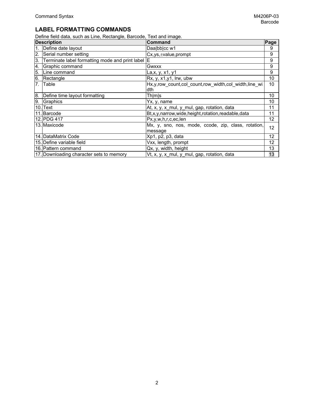## **LABEL FORMATTING COMMANDS**

Define field data, such as Line, Rectangle, Barcode, Text and image.

| <b>Description</b> |                                                 | Command<br>Page                                                   |    |
|--------------------|-------------------------------------------------|-------------------------------------------------------------------|----|
| 1.                 | Define date layout                              | Daa bb cc w1                                                      | 9  |
| 2.                 | Serial number setting                           | $Cx, ys, \pm value, prompt$                                       | 9  |
| 3.                 | Terminate label formatting mode and print label | ΙE                                                                | 9  |
| 4.                 | Graphic command                                 | Gwxxx                                                             | 9  |
| 5.                 | Line command                                    | La, x, y, x1, y1                                                  | 9  |
| 6.                 | Rectangle                                       | Rx, y, x1, y1, Irw, ubw                                           | 10 |
| 7.                 | Table                                           | Hx, y, row count, col count, row width, col width, line wi<br>dth | 10 |
| 8.                 | Define time layout formatting                   | Th m s                                                            | 10 |
| 9.                 | Graphics                                        | Yx, y, name                                                       | 10 |
|                    | 10. Text                                        | At, x, y, x mul, y mul, gap, rotation, data                       | 11 |
|                    | 11. Barcode                                     | Bt,x,y,narrow,wide,height,rotation,readable,data                  | 11 |
|                    | 12. PDG 417                                     | Px,y,w,h,r,c,ec,len                                               | 12 |
|                    | 13. Maxicode                                    | Mx, y, sno, nos, mode, ccode, zip, class, rotation,<br>message    | 12 |
|                    | 14. DataMatrix Code                             | Xp1, p2, p3, data                                                 | 12 |
|                    | 15. Define variable field                       | Vxx, length, prompt                                               | 12 |
|                    | 16. Pattern command                             | Qx, y, width, height                                              | 13 |
|                    | 17. Downloading character sets to memory        | Vt, x, y, x_mul, y_mul, gap, rotation, data                       | 13 |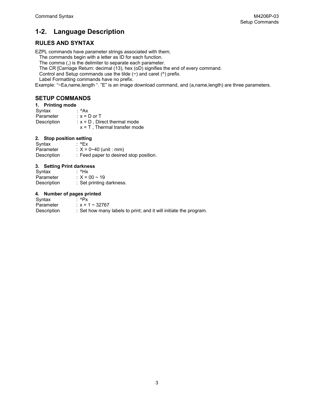# **1-2. Language Description**

## **RULES AND SYNTAX**

EZPL commands have parameter strings associated with them;

The commands begin with a letter as ID for each function.

The comma (,) is the delimiter to separate each parameter.

The CR [Carriage Return: decimal (13), hex (oD) signifies the end of every command.

Control and Setup commands use the tilde  $(\sim)$  and caret ( $\land$ ) prefix.

Label Formatting commands have no prefix.

Example: "~Ea,name,length ". "E" is an image download command, and (a,name,length) are three parameters.

#### **SETUP COMMANDS**

| 1. | <b>Printing mode</b> |  |
|----|----------------------|--|
|----|----------------------|--|

| Syntax      | : ^Ax                           |
|-------------|---------------------------------|
| Parameter   | : $x = D$ or T                  |
| Description | $x = D$ . Direct thermal mode   |
|             | $x = T$ , Thermal transfer mode |

# **2.** Stop position setting<br>Syntax : ^Ex

Syntax<br>Parameter Parameter :  $X = 0 \sim 40$  (unit : mm)<br>Description : Feed paper to desire : Feed paper to desired stop position.

#### **3. Setting Print darkness**

| Syntax      | ∶ ^Hx                    |
|-------------|--------------------------|
| Parameter   | : $X = 00 \sim 19$       |
| Description | : Set printing darkness. |

#### **4. Number of pages printed**

| Syntax      | ∴ ^Px                                                             |
|-------------|-------------------------------------------------------------------|
| Parameter   | $\therefore$ x = 1 ~ 32767                                        |
| Description | : Set how many labels to print; and it will initiate the program. |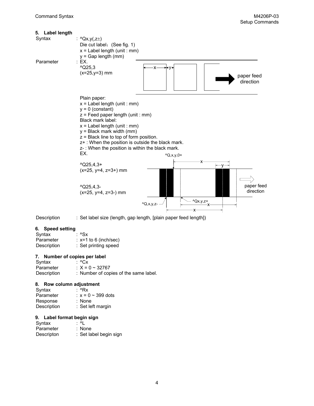| 5. Label length |                                                                                                                                                                                                                                                                                                                                                              |                         |                               |                         |
|-----------------|--------------------------------------------------------------------------------------------------------------------------------------------------------------------------------------------------------------------------------------------------------------------------------------------------------------------------------------------------------------|-------------------------|-------------------------------|-------------------------|
| Syntax          | : ^Qx,y(,z $\pm$ )<br>Die cut label: (See fig. 1)<br>$x =$ Label length (unit : mm)<br>$y = Gap$ length (mm)                                                                                                                                                                                                                                                 |                         |                               |                         |
| Parameter       | : EX.<br>$^{\circ}$ Q25,3<br>$(x=25,y=3)$ mm                                                                                                                                                                                                                                                                                                                 | ۰X<br>l+V+              |                               | paper feed<br>direction |
|                 | Plain paper:<br>$x =$ Label length (unit : mm)<br>$y = 0$ (constant)<br>$z =$ Feed paper length (unit : mm)<br>Black mark label:<br>$x =$ Label length (unit : mm)<br>$y = Black$ mark width (mm)<br>$z =$ Black line to top of form position.<br>z+: When the position is outside the black mark.<br>z-: When the position is within the black mark.<br>EX. | $^1Q, x, y, 0+$         |                               |                         |
|                 | $^{\wedge}$ Q25,4,3+<br>$(x=25, y=4, z=3+)$ mm<br>$^{\wedge}$ Q25,4,3-                                                                                                                                                                                                                                                                                       |                         | -X-                           | paper feed              |
|                 | $(x=25, y=4, z=3-)$ mm                                                                                                                                                                                                                                                                                                                                       | $^{\wedge}Q, x, y, z$ - | $^1$ Qx,y,z <sup>+</sup><br>x | direction               |

Description : Set label size (length, gap length, [plain paper feed length])

#### **6. Speed setting**

| Syntax      | ∶ ^Sx                      |
|-------------|----------------------------|
| Parameter   | $\div$ x=1 to 6 (inch/sec) |
| Description | : Set printing speed       |

#### **7. Number of copies per label**

| Syntax      | : ^Cx                                 |
|-------------|---------------------------------------|
| Parameter   | $\div X = 0 \sim 32767$               |
| Description | : Number of copies of the same label. |

## **8. Row column adjustment**

| Syntax      | :^Rx               |
|-------------|--------------------|
| Parameter   | $x = 0$ ~ 399 dots |
| Response    | $:$ None           |
| Description | : Set left margin  |

#### **9. Label format begin sign**

| Syntax     | : ^L                   |
|------------|------------------------|
| Parameter  | : None                 |
| Descripton | : Set label begin sign |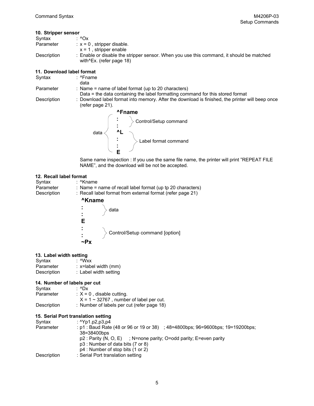#### **10. Stripper sensor**

| : Enable or disable the stripper sensor. When you use this command, it should be matched |
|------------------------------------------------------------------------------------------|
|                                                                                          |

#### **11. Download label format**

| Syntax      | : ^Fname                                                                                                            |
|-------------|---------------------------------------------------------------------------------------------------------------------|
|             | data                                                                                                                |
| Parameter   | : Name = name of label format (up to 20 characters)                                                                 |
|             | Data = the data containing the label formatting command for this stored format                                      |
| Description | : Download label format into memory. After the download is finished, the printer will beep once<br>(refer page 21). |
|             | <b>^Fname</b>                                                                                                       |
|             | $\begin{pmatrix} \cdot & \cdot \\ \cdot & \cdot \end{pmatrix}$ Control/Setup command                                |



Same name inspection : If you use the same file name, the printer will print "REPEAT FILE NAME", and the download will be not be accepted.

#### **12. Recall label format**

| Syntax<br>Parameter<br>Description | : ^Kname<br>: Name = name of recall label format (up tp 20 characters)<br>: Recall label format from external format (refer page 21) |  |  |
|------------------------------------|--------------------------------------------------------------------------------------------------------------------------------------|--|--|
|                                    | <b>^Kname</b>                                                                                                                        |  |  |
|                                    | $\Gamma_{\rm{max}}$<br>data<br>$\blacksquare$<br>F                                                                                   |  |  |
|                                    | > Control/Setup command [option]<br>÷                                                                                                |  |  |

#### **13. Label width setting**

| Syntax      | : ^Wxx                   |
|-------------|--------------------------|
| Parameter   | $: x =$ label width (mm) |
| Description | : Label width setting    |

#### **14. Number of labels per cut**

| Syntax      | : $^{\wedge}$ Dx                              |
|-------------|-----------------------------------------------|
| Parameter   | $\therefore$ X = 0, disable cutting.          |
|             | $X = 1 \sim 32767$ , number of label per cut. |
| Description | : Number of labels per cut (refer page 18)    |

#### **15. Serial Port translation setting**

| Syntax      | : $^{\circ}$ Yp1.p2,p3,p4                                                     |
|-------------|-------------------------------------------------------------------------------|
| Parameter   | : p1: Baud Rate (48 or 96 or 19 or 38) ; 48=4800bps; 96=9600bps; 19=19200bps; |
|             | 38=38400bps                                                                   |
|             | $p2$ : Parity (N, O, E) ; N=none parity; O=odd parity; E=even parity          |
|             | p3 : Number of data bits (7 or 8)                                             |
|             | p4 : Number of stop bits (1 or 2)                                             |
| Description | : Serial Port translation setting                                             |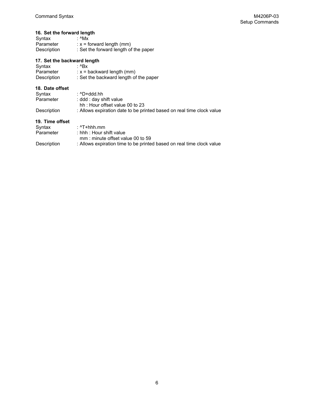## **16. Set the forward length**

| Syntax      | : ^Mx                                 |
|-------------|---------------------------------------|
| Parameter   | $\therefore$ x = forward length (mm)  |
| Description | : Set the forward length of the paper |

#### **17. Set the backward length**

| Syntax<br>Parameter<br>Description | : ^Bx<br>$x =$ backward length (mm)<br>: Set the backward length of the paper |
|------------------------------------|-------------------------------------------------------------------------------|
| 18. Date offset                    |                                                                               |
| Syntax                             | : ^D+ddd.hh                                                                   |
| Parameter                          | : ddd : day shift value                                                       |
|                                    | hh: Hour offset value 00 to 23                                                |
| Description                        | : Allows expiration date to be printed based on real time clock value         |
| 19. Time offset                    |                                                                               |
| Syntax                             | : ^T+hhh.mm                                                                   |
| Parameter                          | : hhh : Hour shift value<br>mm : minute offset value 00 to 59                 |
| Description                        | : Allows expiration time to be printed based on real time clock value         |
|                                    |                                                                               |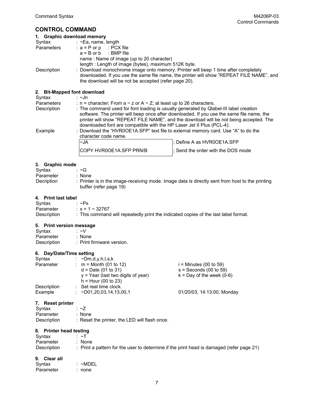## **CONTROL COMMAND**

| 1. Graphic download memory  |                                                                                                                                                                                                                                                                                                |
|-----------------------------|------------------------------------------------------------------------------------------------------------------------------------------------------------------------------------------------------------------------------------------------------------------------------------------------|
| Syntax                      | $\therefore$ ~Ea, name, length                                                                                                                                                                                                                                                                 |
| Parameters                  | $: a = P$ or p $: PCX$ file<br>$a = B$ or b : BMP file<br>name: Name of image (up to 20 character)                                                                                                                                                                                             |
| Description                 | length: Length of image (bytes), maximum 512K byte.<br>: Download monochrome image onto memory. Printer will beep 1 time after completely<br>downloaded. If you use the same file name, the printer will show "REPEAT FILE NAME", and<br>the download will be not be accepted (refer page 20). |
| 2. Bit-Mapped font download |                                                                                                                                                                                                                                                                                                |
| Syntax                      | ∶∼Jn                                                                                                                                                                                                                                                                                           |
| Parameters                  | : n = character; From a $\sim$ z or A $\sim$ Z; at least up to 26 characters.                                                                                                                                                                                                                  |

| Description | : The command used for font loading is usually generated by Qlabel-III label creation                      |                            |  |
|-------------|------------------------------------------------------------------------------------------------------------|----------------------------|--|
|             | software. The printer will beep once after downloaded. If you use the same file name, the                  |                            |  |
|             | printer will show "REPEAT FILE NAME", and the download will be not being accepted. The                     |                            |  |
|             | downloaded font are compatible with the HP Laser Jet II Plus (PCL-4).                                      |                            |  |
| Example     | : Download the "HVR0OE1A.SFP" text file to external memory card. Use "A" to do the<br>character code name. |                            |  |
|             | $\sim$ JA                                                                                                  | ; Define A as HVR0OE1A.SFP |  |

COPY HVR0OE1A.SFP PRN/B |; Send the order with the DOS mode

#### **3. Graphic mode**

| Svntax     | $\sim$ G                                                                                                                  |
|------------|---------------------------------------------------------------------------------------------------------------------------|
| Parameter  | : None                                                                                                                    |
| Decription | : Printer is in the image-receiving mode. Image data is directly sent from host to the printing<br>buffer (refer page 19) |

#### **4. Print last label**

| Syntax      | $\sim P_X$                                                                          |
|-------------|-------------------------------------------------------------------------------------|
| Parameter   | $\therefore$ x = 1 ~ 32767                                                          |
| Description | : This command will repeatedly print the indicated copies of the last label format. |

#### **5. Print version message**

| Syntax      | ∴~∨                       |
|-------------|---------------------------|
| Parameter   | : None                    |
| Description | : Print firmware version. |

#### **6. Day/Date/Time setting**

| Syntax      | : $\sim$ Dm,d,y,h,l,s,k                                       |                                                      |
|-------------|---------------------------------------------------------------|------------------------------------------------------|
| Parameter   | : $m =$ Month (01 to 12)<br>$d = Date (01 to 31)$             | $i =$ Minutes (00 to 59)<br>$s =$ Seconds (00 to 59) |
|             | $y = Year$ (last two digits of year)<br>$h =$ Hour (00 to 23) | $k = Day$ of the week (0-6)                          |
| Description | : Set real time clock.                                        |                                                      |
| Example     | $\therefore$ ~D01,20,03,14,13,00,1                            | 01/20/03, 14:13:00, Monday                           |

#### **7. Reset printer**

| : $\sim$ 7                                    |
|-----------------------------------------------|
| : None                                        |
| : Reset the printer, the LED will flash once. |
|                                               |

#### **8. Printer head testing**

| Syntax      | $\sim$ T                                                                                            |
|-------------|-----------------------------------------------------------------------------------------------------|
| Parameter   | None                                                                                                |
| Description | $\therefore$ Print a pattern for the user to determine if the print head is damaged (refer page 21) |

#### **9. Clear all**

| Syntax    | $~\sim$ MDEL |
|-----------|--------------|
| Parameter | : none       |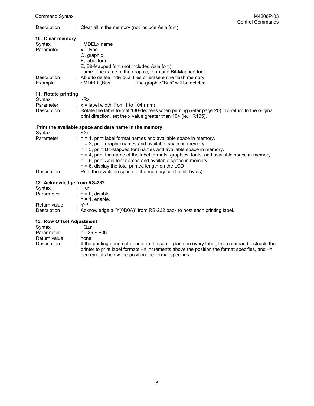Description : Clear all in the memory (not include Asia font) Control Commands Control Commands : Clear all in the memory (not include Asia font)

| 10. Clear memory                                                                                                                                                                                                                                                                                                                                                                                                                                                                          |                                                                                                |
|-------------------------------------------------------------------------------------------------------------------------------------------------------------------------------------------------------------------------------------------------------------------------------------------------------------------------------------------------------------------------------------------------------------------------------------------------------------------------------------------|------------------------------------------------------------------------------------------------|
| Syntax : ~MDELx,name                                                                                                                                                                                                                                                                                                                                                                                                                                                                      |                                                                                                |
| Parameter                                                                                                                                                                                                                                                                                                                                                                                                                                                                                 | $\therefore$ x = type                                                                          |
|                                                                                                                                                                                                                                                                                                                                                                                                                                                                                           | G, graphic                                                                                     |
|                                                                                                                                                                                                                                                                                                                                                                                                                                                                                           | F, label form                                                                                  |
|                                                                                                                                                                                                                                                                                                                                                                                                                                                                                           | E, Bit-Mapped font (not included Asia font)                                                    |
|                                                                                                                                                                                                                                                                                                                                                                                                                                                                                           | name: The name of the graphic, form and Bit-Mapped font                                        |
| Description                                                                                                                                                                                                                                                                                                                                                                                                                                                                               | : Able to delete individual files or erase entire flash memory.                                |
| Example                                                                                                                                                                                                                                                                                                                                                                                                                                                                                   | ; the graphic "Bus" will be deleted<br>: ~MDELG.Bus                                            |
| 11. Rotate printing                                                                                                                                                                                                                                                                                                                                                                                                                                                                       |                                                                                                |
| Syntax<br>$\overline{\phantom{a}}$ $\overline{\phantom{a}}$ $\overline{\phantom{a}}$ $\overline{\phantom{a}}$ $\overline{\phantom{a}}$ $\overline{\phantom{a}}$ $\overline{\phantom{a}}$ $\overline{\phantom{a}}$ $\overline{\phantom{a}}$ $\overline{\phantom{a}}$ $\overline{\phantom{a}}$ $\overline{\phantom{a}}$ $\overline{\phantom{a}}$ $\overline{\phantom{a}}$ $\overline{\phantom{a}}$ $\overline{\phantom{a}}$ $\overline{\phantom{a}}$ $\overline{\phantom{a}}$ $\overline{\$ |                                                                                                |
|                                                                                                                                                                                                                                                                                                                                                                                                                                                                                           | Parameter $\therefore$ x = label width; from 1 to 104 (mm)                                     |
| Description                                                                                                                                                                                                                                                                                                                                                                                                                                                                               | : Rotate the label format 180-degrees when printing (refer page 20). To return to the original |
|                                                                                                                                                                                                                                                                                                                                                                                                                                                                                           | print direction, set the x value greater than 104 (ie. $\sim$ R105).                           |
|                                                                                                                                                                                                                                                                                                                                                                                                                                                                                           | Print the available space and data name in the memory                                          |
| Syntax                                                                                                                                                                                                                                                                                                                                                                                                                                                                                    | ∶∼Xn                                                                                           |
| Parameter                                                                                                                                                                                                                                                                                                                                                                                                                                                                                 | $: n = 1$ , print label format names and available space in memory.                            |
|                                                                                                                                                                                                                                                                                                                                                                                                                                                                                           | $n = 2$ , print graphic names and available space in memory.                                   |
|                                                                                                                                                                                                                                                                                                                                                                                                                                                                                           | $n = 3$ , print Bit-Mapped font names and available space in memory.                           |
|                                                                                                                                                                                                                                                                                                                                                                                                                                                                                           | $n = 4$ , print the name of the label formats, graphics, fonts, and available space in memory. |
|                                                                                                                                                                                                                                                                                                                                                                                                                                                                                           | $n = 5$ , print Asia font names and available space in memory                                  |
|                                                                                                                                                                                                                                                                                                                                                                                                                                                                                           | $n = 6$ , display the total printed length on the LCD                                          |
| Description                                                                                                                                                                                                                                                                                                                                                                                                                                                                               | : Print the available space in the memory card (unit: bytes)                                   |
| $10.4 - 1.0 - 0.01 - 1.0 - 1.0$                                                                                                                                                                                                                                                                                                                                                                                                                                                           |                                                                                                |

#### **12. Acknowledge from RS-232**

| Syntax       | : ∼Kn                                                                   |
|--------------|-------------------------------------------------------------------------|
| Pararmeter   | $: n = 0$ . disable.                                                    |
|              | $n = 1$ . enable.                                                       |
| Return value | ∙ Y↵                                                                    |
| Description  | : Acknowledge a "Y(0D0A)" from RS-232 back to host each printing label. |

#### **13. Row Offset Adjustment**

| Syntax       | : ∼O+n                                                                                                                                                                                                                                                |
|--------------|-------------------------------------------------------------------------------------------------------------------------------------------------------------------------------------------------------------------------------------------------------|
| Pararmeter   | $: n = -36 \sim +36$                                                                                                                                                                                                                                  |
| Return value | : none                                                                                                                                                                                                                                                |
| Description  | : If the printing doed not appear in the same place on every label, this command instructs the<br>printer to print label formats +n increments above the position the format specifies, and -n<br>decrements below the position the format specifies. |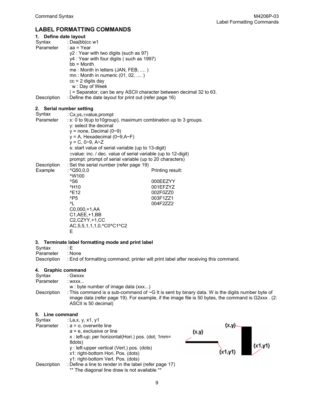## **LABEL FORMATTING COMMANDS**

| 1. Define date layout |                                                                                          |                                                                   |  |
|-----------------------|------------------------------------------------------------------------------------------|-------------------------------------------------------------------|--|
| Syntax                | : Daa bb cc w1                                                                           |                                                                   |  |
| Parameter             | $: aa = Year$                                                                            |                                                                   |  |
|                       | y2 : Year with two digits (such as 97)                                                   |                                                                   |  |
|                       | y4 : Year with four digits (such as 1997)<br>$bb =$ Month                                |                                                                   |  |
|                       | me: Month in letters (JAN, FEB, )                                                        |                                                                   |  |
|                       | $mn:$ Month in numeric $(01, 02, \ldots)$                                                |                                                                   |  |
|                       | $cc = 2$ digits day                                                                      |                                                                   |  |
|                       | w: Day of Week                                                                           |                                                                   |  |
|                       |                                                                                          | = Separator, can be any ASCII character between decimal 32 to 63. |  |
| Description           | : Define the date layout for print out (refer page 16)                                   |                                                                   |  |
| 2.                    | Serial number setting                                                                    |                                                                   |  |
| Syntax                | : Cx, ys, ±value, prompt                                                                 |                                                                   |  |
| Parameter             |                                                                                          |                                                                   |  |
|                       | : x: 0 to 9(up to 10group), maximum combination up to 3 groups.<br>y: select the decimal |                                                                   |  |
|                       | $y =$ none, Decimal (0~9)                                                                |                                                                   |  |
|                       | $y = A$ , Hexadecimal (0~9,A~F)                                                          |                                                                   |  |
|                       | $y = C$ , 0~9, A~Z                                                                       |                                                                   |  |
|                       | s: start value of serial variable (up to 13-digit)                                       |                                                                   |  |
|                       | $\pm$ value: inc. / dec. value of serial variable (up to 12-digit)                       |                                                                   |  |
|                       | prompt: prompt of serial variable (up to 20 characters)                                  |                                                                   |  |
| Description           | : Set the serial number (refer page 19)                                                  |                                                                   |  |
| Example               | : $^{\prime}$ Q50,0,0                                                                    | Printing result:                                                  |  |
|                       | ^W100<br>^S6                                                                             |                                                                   |  |
|                       | <sup>^</sup> H <sub>10</sub>                                                             | 000EEZYY<br>001EFZYZ                                              |  |
|                       | <b>^E12</b>                                                                              | 002F0ZZ0                                                          |  |
|                       | $^{\text{AP5}}$                                                                          | 003F1ZZ1                                                          |  |
|                       | ^I                                                                                       | 004F2ZZ2                                                          |  |
|                       | C0,000,+1,AA                                                                             |                                                                   |  |
|                       | C1, AEE, +1, BB                                                                          |                                                                   |  |
|                       | C2,CZYY,+1,CC                                                                            |                                                                   |  |
|                       | AC, 5, 5, 1, 1, 1, 0, ^C0^C1^C2                                                          |                                                                   |  |
|                       | Е                                                                                        |                                                                   |  |
| 3.                    | Terminate label formatting mode and print label                                          |                                                                   |  |
|                       |                                                                                          |                                                                   |  |

Syntax : E<br>Parameter : None Parameter

Description : End of formatting command; printer will print label after receiving this command.

#### **4. Graphic command**

| Syntax      | : Gwxxx                                                                                                                                                                                                                            |
|-------------|------------------------------------------------------------------------------------------------------------------------------------------------------------------------------------------------------------------------------------|
| Parameter   | : WXXX                                                                                                                                                                                                                             |
|             | w: byte number of image data (xxx)                                                                                                                                                                                                 |
| Description | : This command is a sub-command of $\sim$ G It is sent by binary data. W is the digits number byte of<br>image data (refer page 19). For example, if the image file is 50 bytes, the command is G2xxx. (2:<br>ASCII is 50 decimal) |

#### **5. Line command**

| Syntax<br>Parameter | : La,x, y, x1, y1<br>$: a = o$ , overwrite line                                                                                                                                                                      |       | (x,y)    |         |
|---------------------|----------------------------------------------------------------------------------------------------------------------------------------------------------------------------------------------------------------------|-------|----------|---------|
|                     | $a = e$ , exclusive or line<br>x: left-up; per horizontal(Hori.) pos. (dot; 1mm=<br>8dots)<br>y: left-upper vertical (Vert.) pos. (dots)<br>x1: right-bottom Hori. Pos. (dots)<br>y1: right-bottom Vert. Pos. (dots) | (x,y) | (x1, y1) | (x1,y1) |
| Description         | : Define a line to render in the label (refer page 17)<br>** The diagonal line draw is not available **                                                                                                              |       |          |         |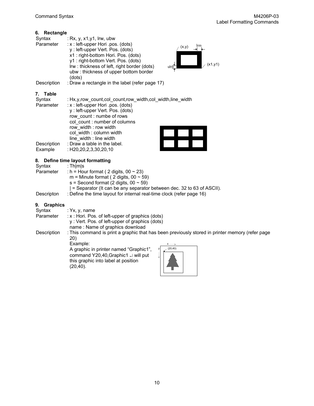#### **6. Rectangle**

| Syntax<br>Parameter | : Rx, y, $x1,y1$ , lrw, ubw<br>: x : left-upper Hori .pos. (dots)<br>lrm<br>(x,y)<br>y: left-upper Vert. Pos. (dots)<br>x1: right-bottom Hori. Pos. (dots)<br>y1: right-bottom Vert. Pos. (dots)<br>(x1,y1)<br>Irw: thickness of left, right border (dots)<br>$ub\overline{\underline{w}}$<br>ubw: thickness of upper bottom border<br>(dots) |
|---------------------|-----------------------------------------------------------------------------------------------------------------------------------------------------------------------------------------------------------------------------------------------------------------------------------------------------------------------------------------------|
| Description         | : Draw a rectangle in the label (refer page 17)                                                                                                                                                                                                                                                                                               |
| Table<br>Syntax     | : Hx.v.row count.col count.row width.col width.line width                                                                                                                                                                                                                                                                                     |

| <b>OVIILGA</b> |                                    |  |  |
|----------------|------------------------------------|--|--|
| Parameter      | : x : left-upper Hori .pos. (dots) |  |  |
|                | y: left-upper Vert. Pos. (dots)    |  |  |
|                | row count: numbe of rows           |  |  |
|                | col count: number of columns       |  |  |
|                | row width: row width               |  |  |
|                | col width: column width            |  |  |
|                | line width : line width            |  |  |
| Description    | : Draw a table in the label.       |  |  |
| Example        | $:$ H20,20,2,3,30,20,10            |  |  |
|                |                                    |  |  |

## **8. Define time layout formatting**

|                       | 8. Define time layout formatting                                      |
|-----------------------|-----------------------------------------------------------------------|
| Syntax                | : Thimis                                                              |
| Parameter             | : $h =$ Hour format (2 digits, 00 $\sim$ 23)                          |
|                       | m = Minute format (2 digits, $00 \sim 59$ )                           |
|                       | $s =$ Second format (2 digits, 00 $\sim$ 59)                          |
|                       | = Separator (It can be any separator between dec. 32 to 63 of ASCII). |
| Descripton            | : Define the time layout for internal real-time clock (refer page 16) |
|                       |                                                                       |
| <b>Graphics</b><br>9. |                                                                       |
|                       |                                                                       |

| Syntax<br>Parameter | : $Yx, y, name$<br>: x : Hori. Pos. of left-upper of graphics (dots)<br>y: Vert. Pos. of left-upper of graphics (dots)<br>name: Name of graphics download                                                                                                                             |
|---------------------|---------------------------------------------------------------------------------------------------------------------------------------------------------------------------------------------------------------------------------------------------------------------------------------|
| Description         | : This command is print a graphic that has been previously stored in printer memory (refer page<br>20)<br>Example:<br>$x \rightarrow$<br>(20, 40)<br>A graphic in printer named "Graphic1",<br>command Y20,40, Graphic1 J will put<br>this graphic into label at position<br>(20,40). |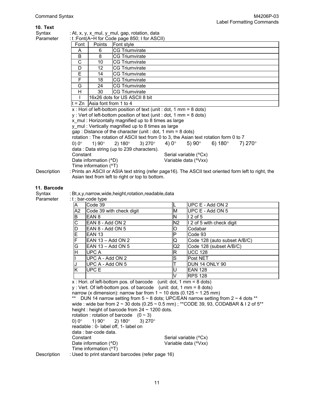| 10. Text    |                                                                                                                                |                                                                        |                                                                                        |                         |                       |                              |                   |  |  |
|-------------|--------------------------------------------------------------------------------------------------------------------------------|------------------------------------------------------------------------|----------------------------------------------------------------------------------------|-------------------------|-----------------------|------------------------------|-------------------|--|--|
| Syntax      | : At, x, y, x mul, y mul, gap, rotation, data                                                                                  |                                                                        |                                                                                        |                         |                       |                              |                   |  |  |
| Parameter   |                                                                                                                                |                                                                        | : t: Font(A~H for Code page 850; I for ASCII)                                          |                         |                       |                              |                   |  |  |
|             | Font                                                                                                                           | Points                                                                 | Font style                                                                             |                         |                       |                              |                   |  |  |
|             | A                                                                                                                              | 6                                                                      | <b>CG Triumvirate</b>                                                                  |                         |                       |                              |                   |  |  |
|             | B                                                                                                                              | 8                                                                      | <b>CG Triumvirate</b>                                                                  |                         |                       |                              |                   |  |  |
|             | $\overline{C}$                                                                                                                 | <b>CG Triumvirate</b><br>10                                            |                                                                                        |                         |                       |                              |                   |  |  |
|             | $\overline{D}$                                                                                                                 | 12<br><b>CG Triumvirate</b>                                            |                                                                                        |                         |                       |                              |                   |  |  |
|             | $\overline{E}$                                                                                                                 | 14                                                                     | <b>CG Triumvirate</b>                                                                  |                         |                       |                              |                   |  |  |
|             | F                                                                                                                              | 18<br><b>CG Triumvirate</b>                                            |                                                                                        |                         |                       |                              |                   |  |  |
|             | G                                                                                                                              | 24                                                                     | <b>CG Triumvirate</b>                                                                  |                         |                       |                              |                   |  |  |
|             | H                                                                                                                              | 30                                                                     | <b>CG Triumvirate</b>                                                                  |                         |                       |                              |                   |  |  |
|             |                                                                                                                                | 16x26 dots for US ASCII 8 bit                                          |                                                                                        |                         |                       |                              |                   |  |  |
|             |                                                                                                                                | $t = Zn$ Asia font from 1 to 4                                         |                                                                                        |                         |                       |                              |                   |  |  |
|             |                                                                                                                                |                                                                        | x : Hori of left-bottom position of text (unit : dot, 1 mm = 8 dots)                   |                         |                       |                              |                   |  |  |
|             |                                                                                                                                |                                                                        | y: Vert of left-bottom position of text (unit : dot, $1 \text{ mm} = 8 \text{ dots}$ ) |                         |                       |                              |                   |  |  |
|             |                                                                                                                                |                                                                        | x mul: Horizontally magnified up to 8 times as large                                   |                         |                       |                              |                   |  |  |
|             |                                                                                                                                |                                                                        | y_mul: Vertically magnified up to 8 times as large                                     |                         |                       |                              |                   |  |  |
|             |                                                                                                                                |                                                                        | gap : Distance of the character (unit : dot, 1 mm = $8$ dots)                          |                         |                       |                              |                   |  |  |
|             |                                                                                                                                |                                                                        | rotation : The rotation of ASCII text from 0 to 3, the Asian text rotation form 0 to 7 |                         |                       |                              |                   |  |  |
|             | $0)$ 0 $^{\circ}$                                                                                                              | $1)90^\circ$                                                           | 2) $180^{\circ}$<br>3) $270^{\circ}$                                                   | 4) $0^\circ$            | 5) $90^\circ$         | 6) $180^{\circ}$             | 7) 270 $^{\circ}$ |  |  |
|             |                                                                                                                                |                                                                        | data: Data string (up to 239 characters).                                              |                         |                       |                              |                   |  |  |
|             | Constant                                                                                                                       |                                                                        |                                                                                        |                         | Serial variable (^Cx) |                              |                   |  |  |
|             |                                                                                                                                | Date information (^D)                                                  |                                                                                        |                         | Variable data (^Vxx)  |                              |                   |  |  |
|             | Time information (^T)<br>: Prints an ASCII or ASIA text string (refer page16). The ASCII text oriented form left to right, the |                                                                        |                                                                                        |                         |                       |                              |                   |  |  |
| Description |                                                                                                                                |                                                                        | Asian text from left to right or top to bottom.                                        |                         |                       |                              |                   |  |  |
|             |                                                                                                                                |                                                                        |                                                                                        |                         |                       |                              |                   |  |  |
| 11. Barcode |                                                                                                                                |                                                                        |                                                                                        |                         |                       |                              |                   |  |  |
| Syntax      |                                                                                                                                |                                                                        | : Bt,x,y,narrow,wide,height,rotation,readable,data                                     |                         |                       |                              |                   |  |  |
| Parameter   |                                                                                                                                | : t : bar-code type                                                    |                                                                                        |                         |                       |                              |                   |  |  |
|             | A                                                                                                                              | Code 39                                                                |                                                                                        |                         | UPC E - Add ON 2      |                              |                   |  |  |
|             | A2                                                                                                                             |                                                                        | Code 39 with check digit                                                               | $\overline{\mathsf{M}}$ | UPC E - Add ON 5      |                              |                   |  |  |
|             | B                                                                                                                              | EAN <sub>8</sub>                                                       |                                                                                        | N                       | $\overline{12}$ of 5  |                              |                   |  |  |
|             | C                                                                                                                              | EAN 8 - Add ON 2                                                       |                                                                                        | N <sub>2</sub>          |                       | I 2 of 5 with check digit    |                   |  |  |
|             | D                                                                                                                              | EAN 8 - Add ON 5                                                       |                                                                                        | O                       | Codabar               |                              |                   |  |  |
|             | E                                                                                                                              | <b>EAN 13</b>                                                          |                                                                                        | P                       | Code 93               |                              |                   |  |  |
|             | F                                                                                                                              | EAN 13 - Add ON 2                                                      |                                                                                        | Q                       |                       | Code 128 (auto subset A/B/C) |                   |  |  |
|             | G                                                                                                                              | EAN 13 - Add ON 5                                                      |                                                                                        | Q <sub>2</sub>          |                       | Code 128 (subset A/B/C)      |                   |  |  |
|             | $\overline{\mathsf{H}}$                                                                                                        | <b>UPCA</b>                                                            |                                                                                        | $\overline{\mathsf{R}}$ | <b>UCC 128</b>        |                              |                   |  |  |
|             |                                                                                                                                | UPC A - Add ON 2                                                       |                                                                                        | S                       | Post NET              |                              |                   |  |  |
|             | J                                                                                                                              | UPC A - Add ON 5                                                       |                                                                                        |                         | DUN 14 ONLY 90        |                              |                   |  |  |
|             | K                                                                                                                              | UPC E                                                                  |                                                                                        |                         | <b>EAN 128</b>        |                              |                   |  |  |
|             |                                                                                                                                |                                                                        |                                                                                        |                         | <b>RPS 128</b>        |                              |                   |  |  |
|             | $x$ : Hori. of left-bottom pos. of barcode (unit: dot, 1 mm = 8 dots)                                                          |                                                                        |                                                                                        |                         |                       |                              |                   |  |  |
|             | $y:$ Vert. Of left-bottom pos. of barcode (unit: dot, 1 mm = 8 dots)                                                           |                                                                        |                                                                                        |                         |                       |                              |                   |  |  |
|             | narrow (x dimension): narrow bar from $1 \sim 10$ dots (0.125 $\sim$ 1.25 mm)                                                  |                                                                        |                                                                                        |                         |                       |                              |                   |  |  |
|             | DUN 14 narrow setting from $5 \sim 8$ dots; UPC/EAN narrow setting from $2 \sim 4$ dots **                                     |                                                                        |                                                                                        |                         |                       |                              |                   |  |  |
|             | wide: wide bar from $2 \sim 30$ dots (0.25 $\sim$ 0.5 mm); **CODE 39, 93, CODABAR & I 2 of 5**                                 |                                                                        |                                                                                        |                         |                       |                              |                   |  |  |
|             | height: height of barcode from $24 \sim 1200$ dots.                                                                            |                                                                        |                                                                                        |                         |                       |                              |                   |  |  |
|             | rotation : rotation of barcode $(0 \sim 3)$                                                                                    |                                                                        |                                                                                        |                         |                       |                              |                   |  |  |
|             | $1)90^\circ$<br>$0)$ 0°<br>2) $180^{\circ}$<br>3) $270^{\circ}$                                                                |                                                                        |                                                                                        |                         |                       |                              |                   |  |  |
|             |                                                                                                                                |                                                                        | readable : 0- label off, 1- label on                                                   |                         |                       |                              |                   |  |  |
|             |                                                                                                                                | data: bar-code data.                                                   |                                                                                        |                         |                       |                              |                   |  |  |
|             | Constant                                                                                                                       |                                                                        |                                                                                        |                         | Serial variable (^Cx) |                              |                   |  |  |
|             |                                                                                                                                | Date information (^D)<br>Variable data (^Vxx)<br>Time information (^T) |                                                                                        |                         |                       |                              |                   |  |  |
|             |                                                                                                                                |                                                                        |                                                                                        |                         |                       |                              |                   |  |  |

Description : Used to print standard barcodes (refer page 16)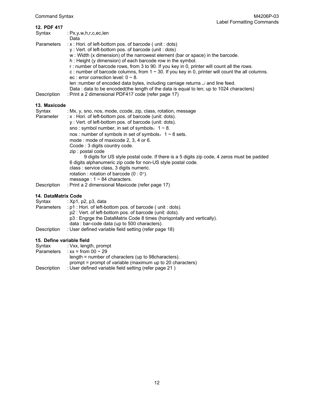| 12. PDF 417         |                                                                                                                                                                                                                                                                                                                                                                                                                                                                                                                                                                                                                    |
|---------------------|--------------------------------------------------------------------------------------------------------------------------------------------------------------------------------------------------------------------------------------------------------------------------------------------------------------------------------------------------------------------------------------------------------------------------------------------------------------------------------------------------------------------------------------------------------------------------------------------------------------------|
| Syntax              | : $Px, y, w, h, r, c, ec, len$                                                                                                                                                                                                                                                                                                                                                                                                                                                                                                                                                                                     |
|                     | Data                                                                                                                                                                                                                                                                                                                                                                                                                                                                                                                                                                                                               |
| Parameters          | : x : Hori. of left-bottom pos. of barcode (unit : dots)<br>y: Vert. of left-bottom pos. of barcode (unit: dots)<br>w: Width (x dimension) of the narrowest element (bar or space) in the barcode.<br>h: Height (y dimension) of each barcode row in the symbol.<br>r: number of barcode rows, from 3 to 90. If you key in 0, printer will count all the rows.<br>c : number of barcode columns, from $1 \sim 30$ . If you key in 0, printer will count the all columns.<br>ec : error correction level: $0 \sim 8$ .<br>len :number of encoded data bytes, including carriage returns $\downarrow$ and line feed. |
| Description         | Data: data to be encoded(the length of the data is equal to len; up to 1024 characters)<br>: Print a 2 dimensional PDF417 code (refer page 17)                                                                                                                                                                                                                                                                                                                                                                                                                                                                     |
| 13. Maxicode        |                                                                                                                                                                                                                                                                                                                                                                                                                                                                                                                                                                                                                    |
| Syntax              | : Mx, y, sno, nos, mode, ccode, zip, class, rotation, message                                                                                                                                                                                                                                                                                                                                                                                                                                                                                                                                                      |
| Parameter           | : x : Hori. of left-bottom pos. of barcode (unit: dots).<br>y: Vert. of left-bottom pos. of barcode (unit: dots).<br>sno: symbol number, in set of symbols: $1 \sim 8$ .                                                                                                                                                                                                                                                                                                                                                                                                                                           |
|                     | nos : number of symbols in set of symbols: $1 \sim 8$ sets.                                                                                                                                                                                                                                                                                                                                                                                                                                                                                                                                                        |
|                     | mode: mode of maxicode 2, 3, 4 or 6.                                                                                                                                                                                                                                                                                                                                                                                                                                                                                                                                                                               |
|                     | Ccode: 3 digits country code.<br>zip : postal code                                                                                                                                                                                                                                                                                                                                                                                                                                                                                                                                                                 |
|                     | 9 digits for US style postal code. If there is a 5 digits zip code, 4 zeros must be padded<br>6 digits alphanumeric zip code for non-US style postal code.<br>class : service class, 3 digits numeric.<br>rotation : rotation of barcode $(0:0^{\circ})$ .                                                                                                                                                                                                                                                                                                                                                         |
|                     | message: $1 \sim 84$ characters.                                                                                                                                                                                                                                                                                                                                                                                                                                                                                                                                                                                   |
| Description         | : Print a 2 dimensional Maxicode (refer page 17)                                                                                                                                                                                                                                                                                                                                                                                                                                                                                                                                                                   |
| 14. DataMatrix Code |                                                                                                                                                                                                                                                                                                                                                                                                                                                                                                                                                                                                                    |
| Syntax              | $\div$ Xp1, p2, p3, data<br>لملماء بالمسار والمحموم والمستحدث ومسائلهما المماركة المسار المسريات ومساحيهن                                                                                                                                                                                                                                                                                                                                                                                                                                                                                                          |
|                     |                                                                                                                                                                                                                                                                                                                                                                                                                                                                                                                                                                                                                    |

- Parameters : p1 : Hori. of left-bottom pos. of barcode ( unit : dots). p2 : Vert. of left-bottom pos. of barcode (unit: dots). p3 : Engrge the DataMatrix Code 8 times (horiqontally and vertically). data : bar-code data (up to 500 characters).
- Description : User defined variable field setting (refer page 18)

#### **15. Define variable field**

| Syntax            | : Vxx, length, prompt                                     |
|-------------------|-----------------------------------------------------------|
| <b>Parameters</b> | : $xx = from 00 \sim 29$                                  |
|                   | length $=$ number of characters (up to 98 characters).    |
|                   | prompt = prompt of variable (maximum up to 20 characters) |
| Description       | : User defined variable field setting (refer page 21)     |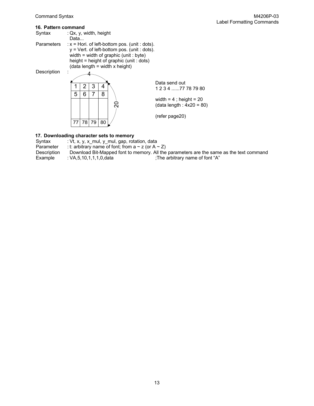| 16. Pattern command |                                      |             |                                                                                                                                                                                                                           |
|---------------------|--------------------------------------|-------------|---------------------------------------------------------------------------------------------------------------------------------------------------------------------------------------------------------------------------|
| Syntax              | : $Qx$ , $y$ , width, height<br>Data |             |                                                                                                                                                                                                                           |
| <b>Parameters</b>   |                                      |             | $x =$ Hori. of left-bottom pos. (unit : dots).<br>$y = Vert$ . of left-bottom pos. (unit : dots).<br>width = width of graphic (unit : byte)<br>height = height of graphic (unit : dots)<br>(data length = width x height) |
| Description         |                                      |             |                                                                                                                                                                                                                           |
|                     | 2<br>6<br>5                          | 3<br>4<br>8 | Data send out<br>1 2 3 4 77 78 79 80                                                                                                                                                                                      |
|                     |                                      |             | width = $4$ ; height = $20$<br>ຊ<br>$(data length : 4x20 = 80)$                                                                                                                                                           |
|                     | 77<br>781                            | 79<br>80    | (refer page20)                                                                                                                                                                                                            |

#### **17. Downloading character sets to memory**

| Syntax      | : Vt, x, y, x mul, y mul, gap, rotation, data                |                                                                                         |
|-------------|--------------------------------------------------------------|-----------------------------------------------------------------------------------------|
| Parameter   | : t: arbitrary name of font; from a $\sim$ z (or A $\sim$ Z) |                                                                                         |
| Description |                                                              | Download Bit-Mapped font to memory. All the parameters are the same as the text command |
| Example     | : VA,5,10,1,1,1,0,data                                       | :The arbitrary name of font "A"                                                         |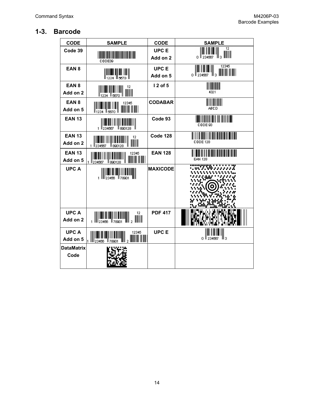# **1-3. Barcode**

| <b>CODE</b>             | <b>SAMPLE</b>                                                             | <b>CODE</b>             | <b>SAMPLE</b>                                                                                                                                                                                                                                                                                                                                                                                                                                                                                                                                   |
|-------------------------|---------------------------------------------------------------------------|-------------------------|-------------------------------------------------------------------------------------------------------------------------------------------------------------------------------------------------------------------------------------------------------------------------------------------------------------------------------------------------------------------------------------------------------------------------------------------------------------------------------------------------------------------------------------------------|
| Code 39                 |                                                                           | <b>UPCE</b><br>Add on 2 | 12<br>$\begin{array}{c} \left\  \left\  \left[ \begin{array}{c} \left\  \left[ \begin{array}{c} \left\  \left[ \begin{array}{c} \left\  \left[ \right] \right. \\ \left\  \left[ \right] \end{array} \right] \right. \\ \left\  \left[ \begin{array}{c} \left\  \left[ \begin{array}{c} \left\  \left[ \right] \right] \right. \\ \left\  \left[ \right] \end{array} \right] \right. \\ \left\  \left[ \begin{array}{c} \left\  \left[ \begin{array}{c} \left\  \left[ \right] \right] \right. \\ \left\  \left[ \right] \end{array} \right] \$ |
|                         | CODE39                                                                    |                         | 12345                                                                                                                                                                                                                                                                                                                                                                                                                                                                                                                                           |
| EAN <sub>8</sub>        |                                                                           | <b>UPCE</b>             | $\begin{array}{c} \  \  \  \  \  \  \  \  \  \\ \  \end{array}$                                                                                                                                                                                                                                                                                                                                                                                                                                                                                 |
|                         | <br>   <sub>1234</sub>    1 <sub>2670</sub>                               | Add on 5                |                                                                                                                                                                                                                                                                                                                                                                                                                                                                                                                                                 |
| EAN <sub>8</sub>        | 12                                                                        | 12 of 5                 |                                                                                                                                                                                                                                                                                                                                                                                                                                                                                                                                                 |
| Add on 2                | I  I III I II<br>234 5670                                                 |                         | 4321                                                                                                                                                                                                                                                                                                                                                                                                                                                                                                                                            |
| EAN <sub>8</sub>        | 12345                                                                     | <b>CODABAR</b>          | <u> IIII III III</u>                                                                                                                                                                                                                                                                                                                                                                                                                                                                                                                            |
| Add on 5                | ll 1234.<br>$\mathbb{I}_{5670}$                                           |                         | ABCD                                                                                                                                                                                                                                                                                                                                                                                                                                                                                                                                            |
| <b>EAN 13</b>           |                                                                           | Code 93                 | <u> III III III III III II</u>                                                                                                                                                                                                                                                                                                                                                                                                                                                                                                                  |
|                         | 1 II 234567<br>ll 890128                                                  |                         | CODE 93                                                                                                                                                                                                                                                                                                                                                                                                                                                                                                                                         |
| <b>EAN 13</b>           | 12                                                                        | Code 128                |                                                                                                                                                                                                                                                                                                                                                                                                                                                                                                                                                 |
| Add on 2                | <br>34567           890128<br>1234567<br>1                                |                         | <b>CODE 128</b>                                                                                                                                                                                                                                                                                                                                                                                                                                                                                                                                 |
| <b>EAN 13</b>           | 12345                                                                     | <b>EAN 128</b>          |                                                                                                                                                                                                                                                                                                                                                                                                                                                                                                                                                 |
| Add on 5                | 1234567<br>ll sao128.<br>$\mathbf{1}$                                     |                         | <b>EAN 128</b>                                                                                                                                                                                                                                                                                                                                                                                                                                                                                                                                  |
| <b>UPCA</b>             |                                                                           | <b>MAXICODE</b>         |                                                                                                                                                                                                                                                                                                                                                                                                                                                                                                                                                 |
|                         |                                                                           |                         |                                                                                                                                                                                                                                                                                                                                                                                                                                                                                                                                                 |
|                         |                                                                           |                         |                                                                                                                                                                                                                                                                                                                                                                                                                                                                                                                                                 |
|                         |                                                                           |                         |                                                                                                                                                                                                                                                                                                                                                                                                                                                                                                                                                 |
|                         |                                                                           |                         |                                                                                                                                                                                                                                                                                                                                                                                                                                                                                                                                                 |
|                         |                                                                           |                         |                                                                                                                                                                                                                                                                                                                                                                                                                                                                                                                                                 |
| <b>UPCA</b><br>Add on 2 | 12                                                                        | <b>PDF 417</b>          |                                                                                                                                                                                                                                                                                                                                                                                                                                                                                                                                                 |
|                         |                                                                           |                         |                                                                                                                                                                                                                                                                                                                                                                                                                                                                                                                                                 |
| <b>UPCA</b>             | 12345                                                                     | <b>UPCE</b>             |                                                                                                                                                                                                                                                                                                                                                                                                                                                                                                                                                 |
| Add on 5                | $\left\  \right\ _2$ minimi<br>III <sub>23456</sub><br>$\mathbb{F}$ 78901 |                         | ⊪з<br>234567<br>0.                                                                                                                                                                                                                                                                                                                                                                                                                                                                                                                              |
| <b>DataMatrix</b>       |                                                                           |                         |                                                                                                                                                                                                                                                                                                                                                                                                                                                                                                                                                 |
| Code                    |                                                                           |                         |                                                                                                                                                                                                                                                                                                                                                                                                                                                                                                                                                 |
|                         |                                                                           |                         |                                                                                                                                                                                                                                                                                                                                                                                                                                                                                                                                                 |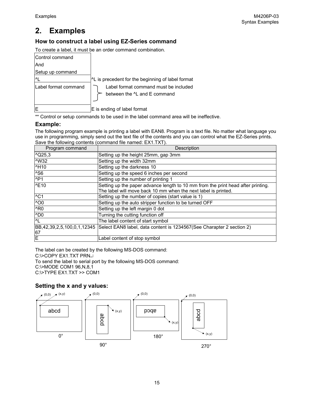# **2. Examples**

## **How to construct a label using EZ-Series command**

To create a label, it must be an order command combination.

| Control command      |                                                                                   |
|----------------------|-----------------------------------------------------------------------------------|
| And                  |                                                                                   |
| Setup up command     |                                                                                   |
|                      | <sup>1</sup> L is precedent for the beginning of label format                     |
| Label format command | Label format command must be included<br>between the <sup>^</sup> L and E command |
|                      | E is ending of label format                                                       |

\*\* Control or setup commands to be used in the label command area will be ineffective.

#### **Example:**

The following program example is printing a label with EAN8. Program is a text file. No matter what language you use in programming, simply send out the text file of the contents and you can control what the EZ-Series prints. Save the following contents (command file named: EX1.TXT).

| Program command             | Description                                                                                      |
|-----------------------------|--------------------------------------------------------------------------------------------------|
| $^{\circ}$ Q25,3            | Setting up the height 25mm, gap 3mm                                                              |
| <b>NW32</b>                 | Setting up the width 32mm                                                                        |
| ^H10                        | Setting up the darkness 10                                                                       |
| <sup>^</sup> S <sub>6</sub> | Setting up the speed 6 inches per second                                                         |
| NP1                         | Setting up the number of printing 1                                                              |
| NE10                        | Setting up the paper advance length to 10 mm from the print head after printing.                 |
|                             | The label will move back 10 mm when the next label is printed.                                   |
| $\overline{C}$              | Setting up the number of copies (start value is 1)                                               |
| $\overline{O}$              | Setting up the auto stripper function to be turned OFF                                           |
| ^R <sub>0</sub>             | Setting up the left margin 0 dot                                                                 |
| $^{\wedge}$ DO              | Turning the cutting function off                                                                 |
| $\overline{L}$              | The label content of start symbol                                                                |
|                             | BB,42,39,2,5,100,0,1,12345 Select EAN8 label, data content is 1234567(See Charapter 2 section 2) |
| $rac{67}{E}$                |                                                                                                  |
|                             | Label content of stop symbol                                                                     |

The label can be created by the following MS-DOS command:

C:\>COPY EX1.TXT PRNJ

To send the label to serial port by the following MS-DOS command:

C:\>MODE COM1 96,N,8,1

C:\>TYPE EX1.TXT >> COM1

#### **Setting the x and y values:**

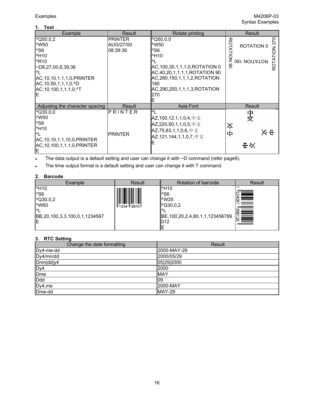#### **1. Text**

| <b>I AVE</b>                     |                |                                                  |                          |
|----------------------------------|----------------|--------------------------------------------------|--------------------------|
| Example                          | Result         | Rotate printing                                  | Result                   |
| $\sqrt{Q50, 0, 2}$               | <b>PRINTER</b> | $\sim$ Q50,0,0                                   | 270                      |
| ^W50                             | AUG/27/00      | ^W50                                             | <b>ROTATION 0</b>        |
| ^S <sub>6</sub>                  | 08:39:36       | ^S6                                              |                          |
| <b>H10</b>                       |                | <b>MH10</b>                                      | <b>ROTATION</b>          |
| <b>^R10</b>                      |                |                                                  | ROTATION<br>081 VOITATOR |
| $\neg$ D8,27,00,8,39,36          |                | AC, 100, 30, 1, 1, 1, 0, ROTATION 0              | 8                        |
| I۸                               |                | AC,40,20,1,1,1,1,ROTATION 90                     |                          |
| AC, 10, 10, 1, 1, 1, 0, PRINTER  |                | AC, 260, 150, 1, 1, 1, 2, ROTATION               |                          |
| AC, 10, 50, 1, 1, 1, 0, ^D       |                | 180                                              |                          |
| AC, 10, 100, 1, 1, 1, 0, ^T      |                | AC, 290, 200, 1, 1, 1, 3, ROTATION               |                          |
| ΙE                               |                | 270                                              |                          |
|                                  |                |                                                  |                          |
| Adjusting the character spacing  | Result         | Asia Font                                        | Result                   |
| $^{\wedge}$ Q30,0,0              | PRINTER        | Μ                                                |                          |
| ^W50                             |                | $AZ, 100, 12, 1, 1, 0, 4, \nexists \mathfrak{X}$ | 中文                       |
| ^S <sub>6</sub>                  |                | AZ,220,50,1,1,0,5,中文                             | ⋨                        |
| <b>H10</b>                       |                | AZ,75,83,1,1,0,6,中文                              | 자표                       |
| $\mathsf{M}$                     | <b>PRINTER</b> | AZ,121,144,1,1,0,7,中文                            | 中                        |
| AC, 10, 10, 1, 1, 10, 0, PRINTER |                |                                                  |                          |
| AC,10,100,1,1,1,0,PRINTER        |                |                                                  | 世以                       |
| ΙE                               |                |                                                  |                          |

• The data output is a default setting and user can change it with ~D command (refer page9).

The time output format is a default setting and user can change it with T command.

#### **2. Barcode**

| Example                                                                                                                        | Result             | Rotation of barcode                                                                                                   | Result         |
|--------------------------------------------------------------------------------------------------------------------------------|--------------------|-----------------------------------------------------------------------------------------------------------------------|----------------|
| <b>^H10</b><br>^S <sub>6</sub><br>$^{\circ}$ Q30,0,2<br><b>NW60</b><br>$\Lambda$<br>BB, 20, 100, 3, 3, 100, 0, 1, 1234567<br>E | ll 1234 il 5670 il | <b>MH10</b><br>I <sup>^</sup> S6<br>M25<br>$^{\circ}$ Q30,0,2<br>BE, 100, 20, 2, 4, 80, 1, 1, 123456789<br>1012<br>lΕ | <b>ANALISM</b> |

## **3. RTC Setting**

| Change the date formatting | Result      |
|----------------------------|-------------|
| Dy4-me-dd                  | 2000-MAY-29 |
| Dy4/mn/dd                  | 2000/05/29  |
| Dmn dd y4                  | 05 29 2000  |
| Dy4                        | 2000        |
| Dme                        | <b>MAY</b>  |
| Ddd                        | l09         |
| Dy4,me                     | 2000-MAY    |
| Dme-dd                     | MAY-29      |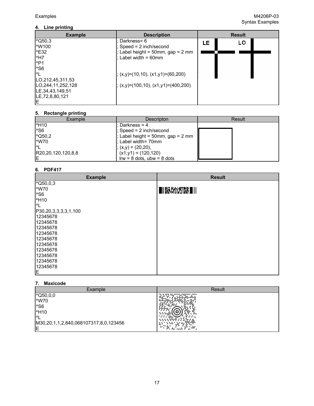| <b>Example</b>              | <b>Description</b>                     | <b>Result</b> |    |  |
|-----------------------------|----------------------------------------|---------------|----|--|
| $\sqrt{Q50,3}$              | Darkness= 6                            | LE            | LO |  |
| l^W100                      | $Speed = 2 inch/second$                |               |    |  |
| <b>^E32</b>                 | ; Label height = $50$ mm, gap = $2$ mm |               |    |  |
| ^H7                         | : Label width = $60$ mm                |               |    |  |
| $^{\text{AP1}}$             |                                        |               |    |  |
| <sup>^</sup> S <sub>6</sub> |                                        |               |    |  |
| M                           | $(x,y)=(10,10), (x1,y1)=(60,200)$      |               |    |  |
| LO, 212, 45, 311, 53        |                                        |               |    |  |
| LO.244,11,252,128           | $(x,y)=(100,10), (x1,y1)=(400,200)$    |               |    |  |
| LE, 34, 43, 149, 51         |                                        |               |    |  |
| LE, 72, 8, 80, 121          |                                        |               |    |  |
| ΙE                          |                                        |               |    |  |

#### **5. Rectangle printing**

| Example            | Descripton                        | Result |
|--------------------|-----------------------------------|--------|
| ^H <sub>10</sub>   | : Darkness = 4                    |        |
| $^{\wedge}$ S6     | ; Speed = 2 inch/second           |        |
| $\sqrt{Q50.2}$     | ; Label height = 50mm, gap = 2 mm |        |
| <b>MW70</b>        | : Label width= 70mm               |        |
| I^L                | $(x, y) = (20, 20),$              |        |
| R20,20,120,120,8,8 | $(x1,y1) = (120,120)$             |        |
|                    | $Irw = 8$ dots, ubw = $8$ dots    |        |

#### **6. PDF417**

| <b>Example</b>              | <b>Result</b>              |
|-----------------------------|----------------------------|
| $^{\wedge}$ Q50,0,3         |                            |
| ^W70                        | E III IWA AKANTARA ELI III |
| <sup>^</sup> S <sub>6</sub> |                            |
| <b>MH10</b>                 |                            |
| $^{\prime}$ L               |                            |
| P30,20,3,3,3,3,1,100        |                            |
| 12345678                    |                            |
| 12345678                    |                            |
| 12345678                    |                            |
| 12345678                    |                            |
| 12345678                    |                            |
| 12345678                    |                            |
| 12345678                    |                            |
| 12345678                    |                            |
| 12345678                    |                            |
| 12345678                    |                            |
| E                           |                            |

#### **7. Maxicode**

| Example                                                                                                                         | Result                                                                                                             |
|---------------------------------------------------------------------------------------------------------------------------------|--------------------------------------------------------------------------------------------------------------------|
| $^{\wedge}$ Q50,0,0<br>^W70<br><sup>^</sup> S <sub>6</sub><br><b>^H10</b><br>I^۱<br>M30,20,1,1,2,840,068107317,8,0,123456<br>lΕ | <br>$\cdots$<br>$+ + +$<br>.<br><br>- 200<br>41<br><br>$\ddotmark$<br>а.<br>$\sim$<br><b>A. </b><br>$\overline{a}$ |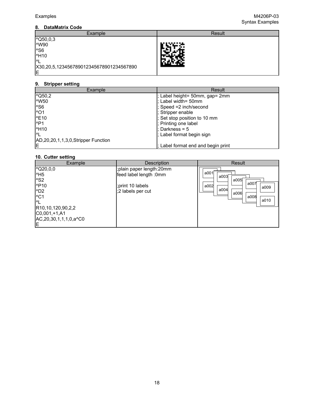#### **8. DataMatrix Code**

| Example                                 | Result |
|-----------------------------------------|--------|
| $\sqrt{Q50,0,3}$                        |        |
| ^W90                                    | じどころ   |
| ^S <sub>6</sub>                         |        |
| <b>^H10</b>                             | . .    |
| I^I                                     | 732    |
| X30,20,5,123456789012345678901234567890 |        |
| ΙE                                      |        |

#### **9. Stripper setting**

| Example                                   | Result                             |
|-------------------------------------------|------------------------------------|
| $\sqrt{Q50,2}$                            | ; Label height= 50mm, gap= 2mm     |
| <b>NW50</b>                               | : Label width= 50mm                |
| <sup>^S6</sup>                            | ; Speed =2 inch/second             |
| $^{\wedge}$ O1                            | ; Stripper enable                  |
| NE10                                      | ; Set stop position to 10 mm       |
| $^{\wedge}P1$                             | ; Printing one label               |
| <b>MH10</b>                               | : Darkness = $5$                   |
| I^I                                       | ; Label format begin sign          |
| AD, 20, 20, 1, 1, 3, 0, Stripper Function |                                    |
| ΙE                                        | : Label format end and begin print |

## **10. Cutter setting**

| $\sqrt{Q20,0,0}$<br>;plain paper length: 20mm                                                                                                                                                                                                                                              | <b>Result</b>                                |
|--------------------------------------------------------------------------------------------------------------------------------------------------------------------------------------------------------------------------------------------------------------------------------------------|----------------------------------------------|
| a001<br>$^{\prime}$ H <sub>5</sub><br>feed label length :0mm<br>a003<br>$^{\wedge}$ S2<br>^P <sub>10</sub><br>;print 10 labels<br>a002<br>a004<br>$^{\wedge}D2$<br>:2 labels per cut<br>$^{\wedge}$ C1<br>I۸<br>R10,10,120,90,2,2<br>$CO,001,+1, A1$<br>AC, 20, 30, 1, 1, 1, 0, a^C0<br>lΕ | a005<br>a007<br>a009<br>a006<br>a008<br>a010 |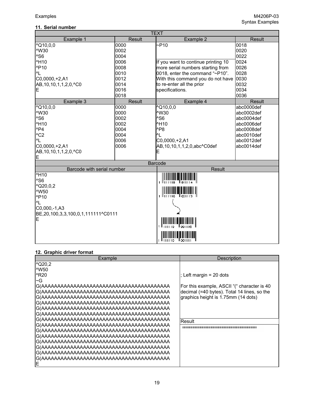## **11. Serial number**

| <b>TEXT</b>                                  |        |                                     |               |  |
|----------------------------------------------|--------|-------------------------------------|---------------|--|
| Example 1                                    | Result | Example 2                           | <b>Result</b> |  |
| $^{\circ}$ Q10,0,0                           | 0000   | $-P10$                              | 0018          |  |
| ^W30                                         | 0002   |                                     | 0020          |  |
| ^S6                                          | 0004   |                                     | 0022          |  |
| ^H <sub>10</sub>                             | 0006   | If you want to continue printing 10 | 0024          |  |
| ^P <sub>10</sub>                             | 0008   | more serial numbers starting from   | 0026          |  |
| ^L                                           | 0010   | 0018, enter the command "~P10".     | 0028          |  |
| $CO,0000,+2, A1$                             | 0012   | With this command you do not have   | 0030          |  |
| AB, 10, 10, 1, 1, 2, 0, ^C0                  | 0014   | to re-enter all the prior           | 0032          |  |
| E                                            | 0016   | specifications.                     | 0034          |  |
|                                              | 0018   |                                     | 0036          |  |
| Example 3                                    | Result | Example 4                           | <b>Result</b> |  |
| $^{\circ}$ Q10,0,0                           | 0000   | $^{\wedge}$ Q10,0,0                 | abc0000def    |  |
| <b>NW30</b>                                  | 0000   | ^W30                                | abc0002def    |  |
| ^S6                                          | 0002   | ^S <sub>6</sub>                     | abc0004def    |  |
| <b>^H10</b>                                  | 0002   | ^H10                                | abc0006def    |  |
| $^1$ P4                                      | 0004   | ^P8                                 | abc0008def    |  |
| $^{\wedge}$ C <sub>2</sub>                   | 0004   | ^L                                  | abc0010def    |  |
| ^L                                           | 0006   | $CO,0000,+2, A1$                    | abc0012def    |  |
| C0,0000,+2,A1                                | 0006   | AB, 10, 10, 1, 1, 2, 0, abc^C0def   | abc0014def    |  |
| AB, 10, 10, 1, 1, 2, 0, ^C0                  |        |                                     |               |  |
| E                                            |        |                                     |               |  |
|                                              |        | <b>Barcode</b>                      |               |  |
| <b>Result</b><br>Barcode with serial number  |        |                                     |               |  |
| <b>H10</b>                                   |        |                                     |               |  |
| ^S <sub>6</sub>                              |        | <b>ANTIFACTURER</b>                 |               |  |
| $^{\circ}$ Q20,0,2                           |        |                                     |               |  |
| ^W50                                         |        |                                     |               |  |
| <b>^P10</b>                                  |        | 1 1111110                           |               |  |
| $^{\prime}$ L                                |        |                                     |               |  |
| $CO,000,-1, A3$                              |        |                                     |               |  |
| BE, 20, 100, 3, 3, 100, 0, 1, 111111 ^ C0111 |        |                                     |               |  |
| E                                            |        | liserrio<br>اوريزيال                |               |  |
|                                              |        | <br> -                              |               |  |

#### **12. Graphic driver format**

| Example          | Description                                 |
|------------------|---------------------------------------------|
| $^{\circ}$ Q20,2 |                                             |
| <sup>^</sup> W50 |                                             |
| ^R20             | : Left margin = 20 dots                     |
| $\sim$ G         |                                             |
|                  | For this example, ASCII "(" character is 40 |
|                  | decimal (=40 bytes). Total 14 lines, so the |
|                  | graphics height is 1.75mm (14 dots)         |
|                  |                                             |
|                  |                                             |
|                  |                                             |
|                  | Result                                      |
|                  |                                             |
|                  |                                             |
|                  |                                             |
|                  |                                             |
|                  |                                             |
|                  |                                             |
|                  |                                             |
|                  |                                             |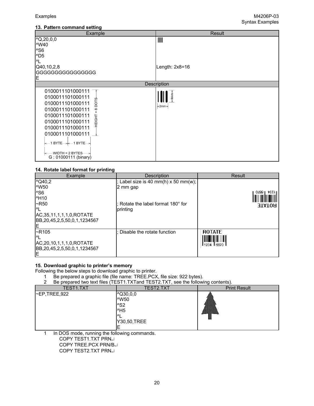#### **13. Pattern command setting**

| Example                                                                                                                                                                                                                                                                                | Result                             |
|----------------------------------------------------------------------------------------------------------------------------------------------------------------------------------------------------------------------------------------------------------------------------------------|------------------------------------|
| $^{\circ}Q, 20, 0, 0$<br>^W40<br>^S6                                                                                                                                                                                                                                                   | III                                |
| ^D <sub>5</sub><br>^L                                                                                                                                                                                                                                                                  |                                    |
| Q40,10,2,8<br>GGGGGGGGGGGGGGGG<br>E                                                                                                                                                                                                                                                    | Length: $2x8=16$                   |
|                                                                                                                                                                                                                                                                                        | Description                        |
| 0100011101000111<br>0100011101000111<br>ς<br>ä<br>0100011101000111<br>0100011101000111<br>${}^{\circ}$<br>0100011101000111<br>EIGHT<br>0100011101000111<br>0100011101000111<br>0100011101000111<br>├← 1 BYTE—┼← 1 BYTE—┤<br>$-WIDTH = 2 BYTES \longrightarrow$<br>G: 01000111 (binary) | <8dots∍<br>$\approx$ 2mm $\approx$ |

#### **14. Rotate label format for printing**

| Example                              | Description                            | <b>Result</b>                  |
|--------------------------------------|----------------------------------------|--------------------------------|
| $\sqrt{Q40,2}$                       | ; Label size is 40 mm(h) $x$ 50 mm(w); |                                |
| <b>NW50</b>                          | 2 mm gap                               |                                |
| <sup>A</sup> S <sub>6</sub>          |                                        | OZ9G∥ †SZ↓∥                    |
| <b>MH10</b>                          |                                        |                                |
| $\sim$ R50                           | : Rotate the label format 180° for     | <b>EQTATE</b>                  |
| MГ                                   | printing                               |                                |
| AC, 35, 11, 1, 1, 1, 0, ROTATE       |                                        |                                |
| IBB, 20, 45, 2, 5, 50, 0, 1, 1234567 |                                        |                                |
| F                                    |                                        |                                |
| $-R105$                              | : Disable the rotate function          | <b>ROTATE</b>                  |
| I۸                                   |                                        | <u> III III III III III II</u> |
| AC, 20, 10, 1, 1, 1, 0, ROTATE       |                                        | <u> 11234 115670 11</u>        |
| IBB, 20, 45, 2, 5, 50, 0, 1, 1234567 |                                        |                                |
| ΙE                                   |                                        |                                |

#### **15. Download graphic to printer's memory**

Following the below steps to download graphic to printer.

- 1 Be prepared a graphic file (file name: TREE.PCX, file size: 922 bytes).
- 2 Be prepared two text files (TEST1.TXTand TEST2.TXT, see the following contents).

| <b>TEST1.TXT</b> | TEST2.TXT                                                                                     | <b>Print Result</b>                |
|------------------|-----------------------------------------------------------------------------------------------|------------------------------------|
| -EP,TREE,922     | $\sim$ Q30,0,0<br><b>^W50</b><br>^S <sub>2</sub><br>$^{\prime}$ H <sub>5</sub><br>Y30,50,TREE | ,,,,,,,,,,,,,,,,,,,,,,,,,,,,,,,,,, |

1 In DOS mode, running the following commands.

COPY TEST1.TXT PRN↵

COPY TREE.PCX PRN/B↵ COPY TEST2.TXT PRN<sup>ุ</sup>႕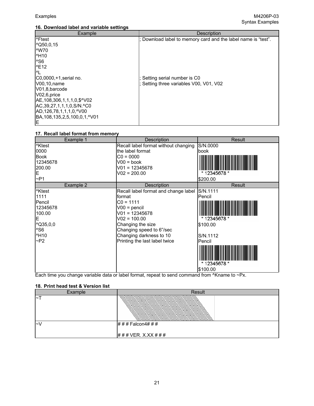#### **16. Download label and variable settings**

| Example                                         | <b>Description</b>                                            |  |  |
|-------------------------------------------------|---------------------------------------------------------------|--|--|
| l^Ftest                                         | ; Download label to memory card and the label name is "test". |  |  |
| $\sqrt{Q50,0,15}$                               |                                                               |  |  |
| <b>MW70</b>                                     |                                                               |  |  |
| <b>MH10</b>                                     |                                                               |  |  |
| <sup>^S6</sup>                                  |                                                               |  |  |
| ^E12                                            |                                                               |  |  |
| I^L                                             |                                                               |  |  |
| C0,0000,+1,serial no.                           | ; Setting serial number is C0                                 |  |  |
| VO0,10, name                                    | ; Setting three variables V00, V01, V02                       |  |  |
| V01,8,barcode                                   |                                                               |  |  |
| VO2, 6, price                                   |                                                               |  |  |
| IAE, 108, 306, 1, 1, 1, 0, \$ ^ V02             |                                                               |  |  |
| AC, 39, 27, 1, 1, 1, 0, S/N. ^ C0               |                                                               |  |  |
| AD, 126, 78, 1, 1, 1, 0, ^ V00                  |                                                               |  |  |
| BA, 108, 135, 2, 5, 100, 0, 1, <sup>^</sup> V01 |                                                               |  |  |
| IE.                                             |                                                               |  |  |

#### **17. Recall label format from memory**

| Example 1          | Description                          | Result       |
|--------------------|--------------------------------------|--------------|
| <sup>^</sup> Ktest | Recall label format without changing | S/N.0000     |
| 0000               | the label format                     | book         |
| <b>Book</b>        | $CO = 0000$                          |              |
| 12345678           | $V00 = book$                         |              |
| 200.00             | $V01 = 12345678$                     |              |
| E                  | $V02 = 200.00$                       | * 12345678 * |
| $\neg P1$          |                                      | \$200.00     |
| Example 2          | Description                          | Result       |
| <sup>^</sup> Ktest | Recall label format and change label | S/N.1111     |
| 1111               | format                               | Pencil       |
| Pencil             | $CO = 1111$                          |              |
| 12345678           | $V00 = \text{pencil}$                |              |
| 100.00             | $V01 = 12345678$                     |              |
| E                  | $V02 = 100.00$                       | * 12345678 * |
| $^{\circ}$ Q35,0,0 | Changing the size                    | S100.00      |
| $^{\wedge}$ S6     | Changing speed to 6"/sec             |              |
| <b>^H10</b>        | Changing darkness to 10              | S/N.1112     |
| ~P2                | Printing the last label twice        | Pencil       |
|                    |                                      | *12345678 *  |
|                    |                                      | \$100.00     |

Each time you change variable data or label format, repeat to send command from ^Kname to ~Px.

#### **18. Print head test & Version list**

| Example    | Result           |
|------------|------------------|
| $\tilde{}$ |                  |
| l~\        | ### Falcon4###   |
|            | ###VER. X.XX ### |